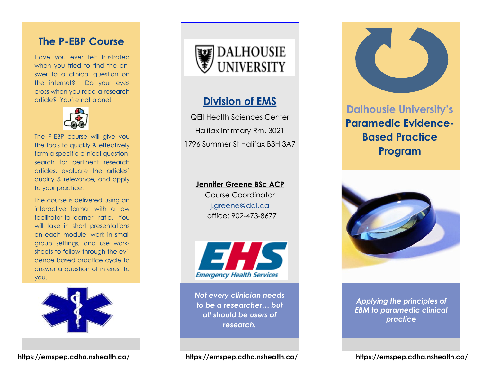## **The P-EBP Course**

Have you ever felt frustrated when you tried to find the answer to a clinical question on the internet? Do your eyes cross when you read a research article? You're not alone!



The P-EBP course will give you the tools to quickly & effectively form a specific clinical question, search for pertinent research articles, evaluate the articles' quality & relevance, and apply to your practice.

The course is delivered using an interactive format with a low facilitator-to-learner ratio. You will take in short presentations on each module, work in small group settings, and use worksheets to follow through the evidence based practice cycle to answer a question of interest to you.





## **Division of EMS**

QEII Health Sciences Center Halifax Infirmary Rm. 3021 1796 Summer St Halifax B3H 3A7

### **Jennifer Greene BSc ACP**

Course Coordinator j.greene@dal.ca office: 902-473-8677



*Not every clinician needs to be a researcher… but all should be users of research.* 

# **Dalhousie University's Paramedic Evidence-Based Practice Program**



*Applying the principles of EBM to paramedic clinical practice*

**https://emspep.cdha.nshealth.ca/ https://emspep.cdha.nshealth.ca/ https://emspep.cdha.nshealth.ca/**